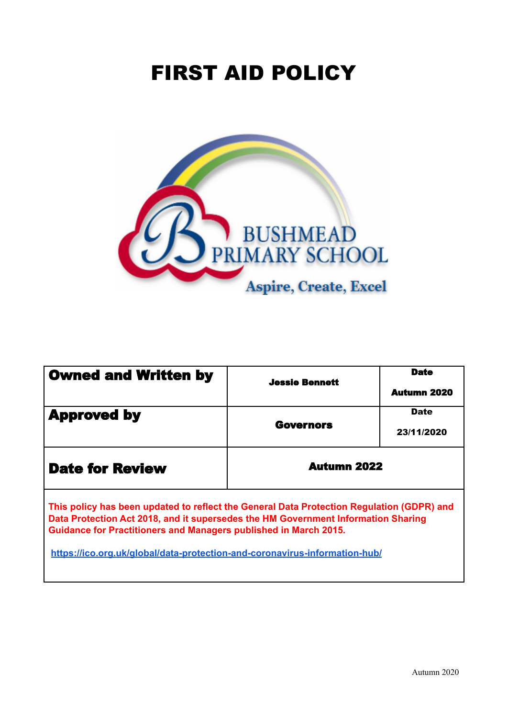# FIRST AID POLICY



| <b>Owned and Written by</b>                                                                                                                                                                                                                        | <b>Jessie Bennett</b> | <b>Date</b><br><b>Autumn 2020</b> |
|----------------------------------------------------------------------------------------------------------------------------------------------------------------------------------------------------------------------------------------------------|-----------------------|-----------------------------------|
| <b>Approved by</b>                                                                                                                                                                                                                                 | <b>Governors</b>      | <b>Date</b><br>23/11/2020         |
| <b>Date for Review</b>                                                                                                                                                                                                                             | <b>Autumn 2022</b>    |                                   |
| This policy has been updated to reflect the General Data Protection Regulation (GDPR) and<br>Data Protection Act 2018, and it supersedes the HM Government Information Sharing<br>Guidance for Practitioners and Managers published in March 2015. |                       |                                   |
| https://ico.org.uk/global/data-protection-and-coronavirus-information-hub/                                                                                                                                                                         |                       |                                   |